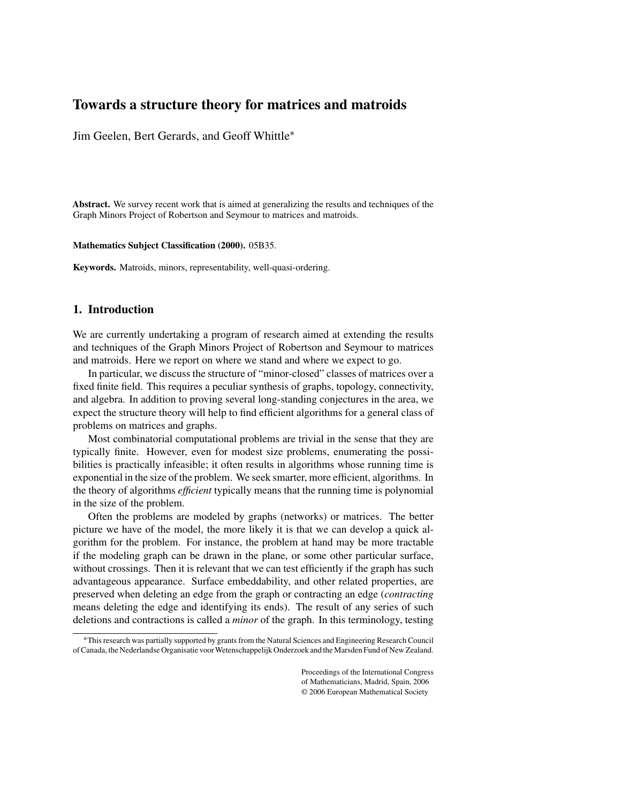Jim Geelen, Bert Gerards, and Geoff Whittle<sup>∗</sup>

**Abstract.** We survey recent work that is aimed at generalizing the results and techniques of the Graph Minors Project of Robertson and Seymour to matrices and matroids.

**Mathematics Subject Classification (2000).** 05B35.

**Keywords.** Matroids, minors, representability, well-quasi-ordering.

## **1. Introduction**

We are currently undertaking a program of research aimed at extending the results and techniques of the Graph Minors Project of Robertson and Seymour to matrices and matroids. Here we report on where we stand and where we expect to go.

In particular, we discuss the structure of "minor-closed" classes of matrices over a fixed finite field. This requires a peculiar synthesis of graphs, topology, connectivity, and algebra. In addition to proving several long-standing conjectures in the area, we expect the structure theory will help to find efficient algorithms for a general class of problems on matrices and graphs.

Most combinatorial computational problems are trivial in the sense that they are typically finite. However, even for modest size problems, enumerating the possibilities is practically infeasible; it often results in algorithms whose running time is exponential in the size of the problem. We seek smarter, more efficient, algorithms. In the theory of algorithms *efficient* typically means that the running time is polynomial in the size of the problem.

Often the problems are modeled by graphs (networks) or matrices. The better picture we have of the model, the more likely it is that we can develop a quick algorithm for the problem. For instance, the problem at hand may be more tractable if the modeling graph can be drawn in the plane, or some other particular surface, without crossings. Then it is relevant that we can test efficiently if the graph has such advantageous appearance. Surface embeddability, and other related properties, are preserved when deleting an edge from the graph or contracting an edge (*contracting* means deleting the edge and identifying its ends). The result of any series of such deletions and contractions is called a *minor* of the graph. In this terminology, testing

Proceedings of the International Congress of Mathematicians, Madrid, Spain, 2006 © 2006 European Mathematical Society

<sup>∗</sup>This research was partially supported by grants from the Natural Sciences and Engineering Research Council of Canada, the Nederlandse Organisatie voorWetenschappelijk Onderzoek and the Marsden Fund of New Zealand.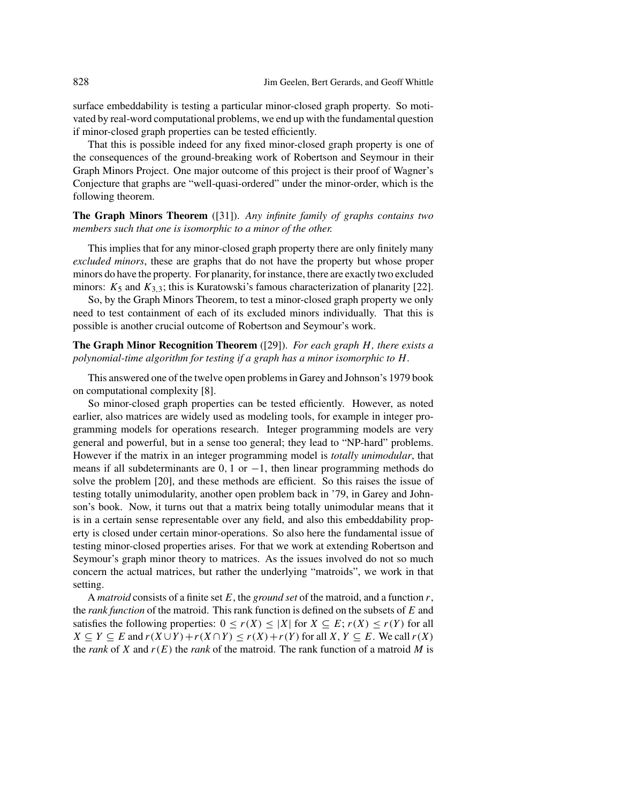surface embeddability is testing a particular minor-closed graph property. So motivated by real-word computational problems, we end up with the fundamental question if minor-closed graph properties can be tested efficiently.

That this is possible indeed for any fixed minor-closed graph property is one of the consequences of the ground-breaking work of Robertson and Seymour in their Graph Minors Project. One major outcome of this project is their proof of Wagner's Conjecture that graphs are "well-quasi-ordered" under the minor-order, which is the following theorem.

## **The Graph Minors Theorem** ([31]). *Any infinite family of graphs contains two members such that one is isomorphic to a minor of the other.*

This implies that for any minor-closed graph property there are only finitely many *excluded minors*, these are graphs that do not have the property but whose proper minors do have the property. For planarity, for instance, there are exactly two excluded minors:  $K_5$  and  $K_{3,3}$ ; this is Kuratowski's famous characterization of planarity [22].

So, by the Graph Minors Theorem, to test a minor-closed graph property we only need to test containment of each of its excluded minors individually. That this is possible is another crucial outcome of Robertson and Seymour's work.

## **The Graph Minor Recognition Theorem** ([29]). *For each graph H, there exists a polynomial-time algorithm for testing if a graph has a minor isomorphic to H.*

This answered one of the twelve open problems in Garey and Johnson's 1979 book on computational complexity [8].

So minor-closed graph properties can be tested efficiently. However, as noted earlier, also matrices are widely used as modeling tools, for example in integer programming models for operations research. Integer programming models are very general and powerful, but in a sense too general; they lead to "NP-hard" problems. However if the matrix in an integer programming model is *totally unimodular*, that means if all subdeterminants are 0*,* 1 or −1, then linear programming methods do solve the problem [20], and these methods are efficient. So this raises the issue of testing totally unimodularity, another open problem back in '79, in Garey and Johnson's book. Now, it turns out that a matrix being totally unimodular means that it is in a certain sense representable over any field, and also this embeddability property is closed under certain minor-operations. So also here the fundamental issue of testing minor-closed properties arises. For that we work at extending Robertson and Seymour's graph minor theory to matrices. As the issues involved do not so much concern the actual matrices, but rather the underlying "matroids", we work in that setting.

A *matroid* consists of a finite set *E*, the *ground set* of the matroid, and a function *r*, the *rank function* of the matroid. This rank function is defined on the subsets of *E* and satisfies the following properties:  $0 \le r(X) \le |X|$  for  $X \subseteq E$ ;  $r(X) \le r(Y)$  for all  $X \subseteq Y \subseteq E$  and  $r(X \cup Y) + r(X \cap Y) \le r(X) + r(Y)$  for all  $X, Y \subseteq E$ . We call  $r(X)$ the *rank* of *X* and  $r(E)$  the *rank* of the matroid. The rank function of a matroid *M* is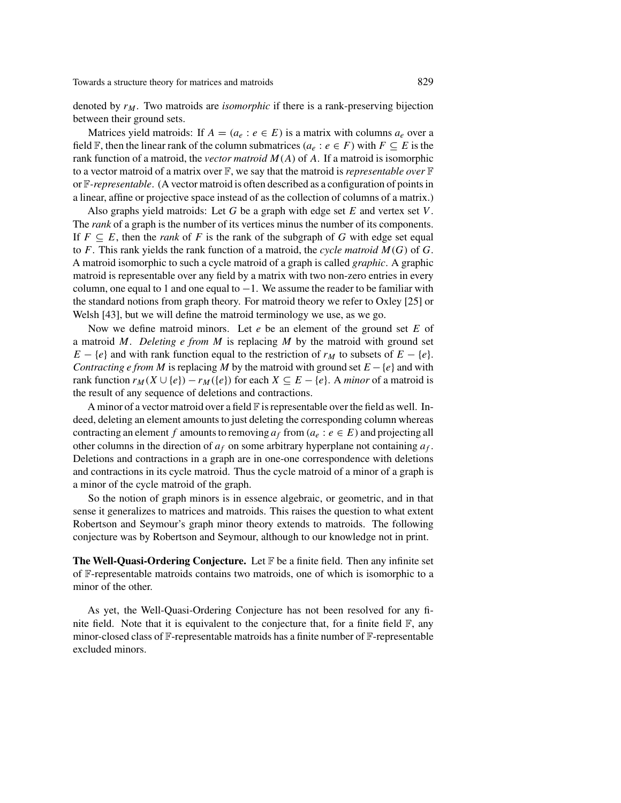denoted by *rM*. Two matroids are *isomorphic* if there is a rank-preserving bijection between their ground sets.

Matrices yield matroids: If  $A = (a_e : e \in E)$  is a matrix with columns  $a_e$  over a field F, then the linear rank of the column submatrices  $(a_e : e \in F)$  with  $F \subseteq E$  is the rank function of a matroid, the *vector matroid M(A)* of *A*. If a matroid is isomorphic to a vector matroid of a matrix over F, we say that the matroid is *representable over* F or F*-representable*. (A vector matroid is often described as a configuration of points in a linear, affine or projective space instead of as the collection of columns of a matrix.)

Also graphs yield matroids: Let *G* be a graph with edge set *E* and vertex set *V* . The *rank* of a graph is the number of its vertices minus the number of its components. If  $F \subseteq E$ , then the *rank* of *F* is the rank of the subgraph of *G* with edge set equal to  $F$ . This rank yields the rank function of a matroid, the *cycle matroid*  $M(G)$  of  $G$ . A matroid isomorphic to such a cycle matroid of a graph is called *graphic*. A graphic matroid is representable over any field by a matrix with two non-zero entries in every column, one equal to 1 and one equal to  $-1$ . We assume the reader to be familiar with the standard notions from graph theory. For matroid theory we refer to Oxley [25] or Welsh [43], but we will define the matroid terminology we use, as we go.

Now we define matroid minors. Let *e* be an element of the ground set *E* of a matroid *M*. *Deleting e from M* is replacing *M* by the matroid with ground set  $E - \{e\}$  and with rank function equal to the restriction of  $r_M$  to subsets of  $E - \{e\}$ . *Contracting e from M* is replacing *M* by the matroid with ground set  $E - \{e\}$  and with rank function  $r_M(X \cup \{e\}) - r_M(\{e\})$  for each  $X \subseteq E - \{e\}$ . A *minor* of a matroid is the result of any sequence of deletions and contractions.

A minor of a vector matroid over a field  $\mathbb F$  is representable over the field as well. Indeed, deleting an element amounts to just deleting the corresponding column whereas contracting an element *f* amounts to removing  $a_f$  from  $(a_e : e \in E)$  and projecting all other columns in the direction of  $a_f$  on some arbitrary hyperplane not containing  $a_f$ . Deletions and contractions in a graph are in one-one correspondence with deletions and contractions in its cycle matroid. Thus the cycle matroid of a minor of a graph is a minor of the cycle matroid of the graph.

So the notion of graph minors is in essence algebraic, or geometric, and in that sense it generalizes to matrices and matroids. This raises the question to what extent Robertson and Seymour's graph minor theory extends to matroids. The following conjecture was by Robertson and Seymour, although to our knowledge not in print.

**The Well-Quasi-Ordering Conjecture.** Let  $\mathbb{F}$  be a finite field. Then any infinite set of F-representable matroids contains two matroids, one of which is isomorphic to a minor of the other.

As yet, the Well-Quasi-Ordering Conjecture has not been resolved for any finite field. Note that it is equivalent to the conjecture that, for a finite field  $\mathbb{F}$ , any minor-closed class of F-representable matroids has a finite number of F-representable excluded minors.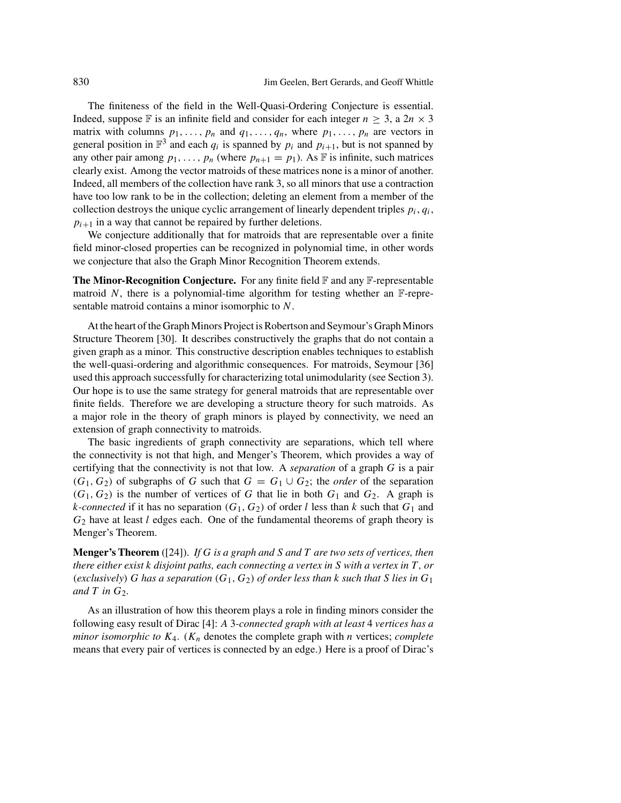The finiteness of the field in the Well-Quasi-Ordering Conjecture is essential. Indeed, suppose F is an infinite field and consider for each integer  $n \geq 3$ , a  $2n \times 3$ matrix with columns  $p_1, \ldots, p_n$  and  $q_1, \ldots, q_n$ , where  $p_1, \ldots, p_n$  are vectors in general position in  $\mathbb{F}^3$  and each  $q_i$  is spanned by  $p_i$  and  $p_{i+1}$ , but is not spanned by any other pair among  $p_1, \ldots, p_n$  (where  $p_{n+1} = p_1$ ). As F is infinite, such matrices clearly exist. Among the vector matroids of these matrices none is a minor of another. Indeed, all members of the collection have rank 3, so all minors that use a contraction have too low rank to be in the collection; deleting an element from a member of the collection destroys the unique cyclic arrangement of linearly dependent triples  $p_i$ ,  $q_i$ ,  $p_{i+1}$  in a way that cannot be repaired by further deletions.

We conjecture additionally that for matroids that are representable over a finite field minor-closed properties can be recognized in polynomial time, in other words we conjecture that also the Graph Minor Recognition Theorem extends.

**The Minor-Recognition Conjecture.** For any finite field  $\mathbb{F}$  and any  $\mathbb{F}$ -representable matroid N, there is a polynomial-time algorithm for testing whether an  $\mathbb{F}\text{-repre}$ sentable matroid contains a minor isomorphic to *N*.

At the heart of the Graph Minors Project is Robertson and Seymour's Graph Minors Structure Theorem [30]. It describes constructively the graphs that do not contain a given graph as a minor. This constructive description enables techniques to establish the well-quasi-ordering and algorithmic consequences. For matroids, Seymour [36] used this approach successfully for characterizing total unimodularity (see Section 3). Our hope is to use the same strategy for general matroids that are representable over finite fields. Therefore we are developing a structure theory for such matroids. As a major role in the theory of graph minors is played by connectivity, we need an extension of graph connectivity to matroids.

The basic ingredients of graph connectivity are separations, which tell where the connectivity is not that high, and Menger's Theorem, which provides a way of certifying that the connectivity is not that low. A *separation* of a graph *G* is a pair  $(G_1, G_2)$  of subgraphs of *G* such that  $G = G_1 \cup G_2$ ; the *order* of the separation  $(G_1, G_2)$  is the number of vertices of *G* that lie in both  $G_1$  and  $G_2$ . A graph is *k*-connected if it has no separation  $(G_1, G_2)$  of order *l* less than *k* such that  $G_1$  and *G*<sup>2</sup> have at least *l* edges each. One of the fundamental theorems of graph theory is Menger's Theorem.

**Menger's Theorem** ([24]). *If G is a graph and S and T are two sets of vertices, then there either exist k disjoint paths, each connecting a vertex in S with a vertex in T , or* (*exclusively*) G has a separation  $(G_1, G_2)$  *of order less than k such that S lies in*  $G_1$ *and*  $T$  *in*  $G_2$ *.* 

As an illustration of how this theorem plays a role in finding minors consider the following easy result of Dirac [4]: *A* 3*-connected graph with at least* 4 *vertices has a minor isomorphic to*  $K_4$ . ( $K_n$  denotes the complete graph with *n* vertices; *complete* means that every pair of vertices is connected by an edge.) Here is a proof of Dirac's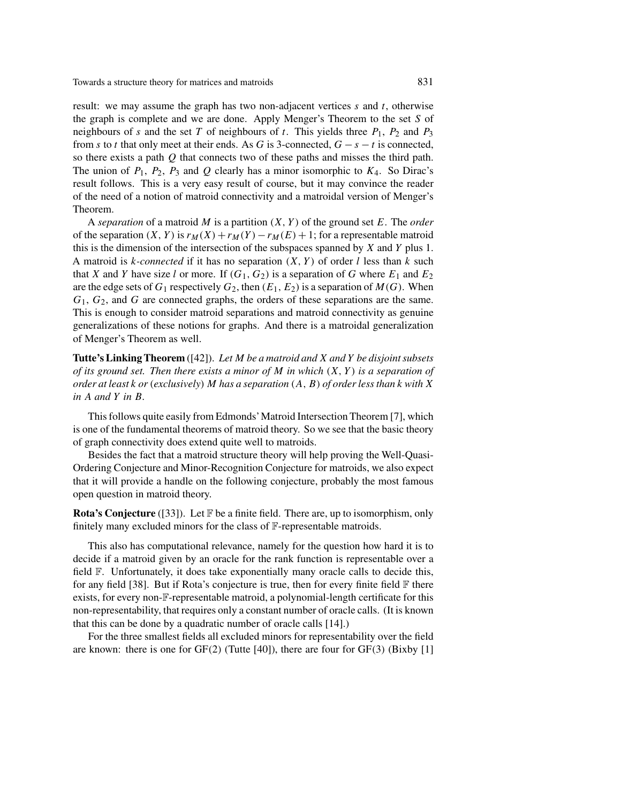result: we may assume the graph has two non-adjacent vertices *s* and *t*, otherwise the graph is complete and we are done. Apply Menger's Theorem to the set *S* of neighbours of *s* and the set *T* of neighbours of *t*. This yields three  $P_1$ ,  $P_2$  and  $P_3$ from *s* to *t* that only meet at their ends. As *G* is 3-connected,  $G - s - t$  is connected, so there exists a path *Q* that connects two of these paths and misses the third path. The union of  $P_1$ ,  $P_2$ ,  $P_3$  and  $Q$  clearly has a minor isomorphic to  $K_4$ . So Dirac's result follows. This is a very easy result of course, but it may convince the reader of the need of a notion of matroid connectivity and a matroidal version of Menger's Theorem.

A *separation* of a matroid *M* is a partition *(X, Y )* of the ground set *E*. The *order* of the separation  $(X, Y)$  is  $r_M(X) + r_M(Y) - r_M(E) + 1$ ; for a representable matroid this is the dimension of the intersection of the subspaces spanned by *X* and *Y* plus 1. A matroid is *k*-connected if it has no separation  $(X, Y)$  of order *l* less than *k* such that *X* and *Y* have size *l* or more. If  $(G_1, G_2)$  is a separation of *G* where  $E_1$  and  $E_2$ are the edge sets of  $G_1$  respectively  $G_2$ , then  $(E_1, E_2)$  is a separation of  $M(G)$ . When *G*1, *G*2, and *G* are connected graphs, the orders of these separations are the same. This is enough to consider matroid separations and matroid connectivity as genuine generalizations of these notions for graphs. And there is a matroidal generalization of Menger's Theorem as well.

**Tutte's Linking Theorem** ([42]). *Let M be a matroid and X and Y be disjoint subsets of its ground set. Then there exists a minor of M in which (X, Y ) is a separation of order at least k or(exclusively) M has a separation (A, B) of order less than k with X in A and Y in B.*

This follows quite easily from Edmonds'Matroid Intersection Theorem [7], which is one of the fundamental theorems of matroid theory. So we see that the basic theory of graph connectivity does extend quite well to matroids.

Besides the fact that a matroid structure theory will help proving the Well-Quasi-Ordering Conjecture and Minor-Recognition Conjecture for matroids, we also expect that it will provide a handle on the following conjecture, probably the most famous open question in matroid theory.

**Rota's Conjecture** ([33]). Let F be a finite field. There are, up to isomorphism, only finitely many excluded minors for the class of F-representable matroids.

This also has computational relevance, namely for the question how hard it is to decide if a matroid given by an oracle for the rank function is representable over a field F. Unfortunately, it does take exponentially many oracle calls to decide this, for any field [38]. But if Rota's conjecture is true, then for every finite field  $\mathbb F$  there exists, for every non-F-representable matroid, a polynomial-length certificate for this non-representability, that requires only a constant number of oracle calls. (It is known that this can be done by a quadratic number of oracle calls [14].)

For the three smallest fields all excluded minors for representability over the field are known: there is one for GF*(*2*)* (Tutte [40]), there are four for GF*(*3*)* (Bixby [1]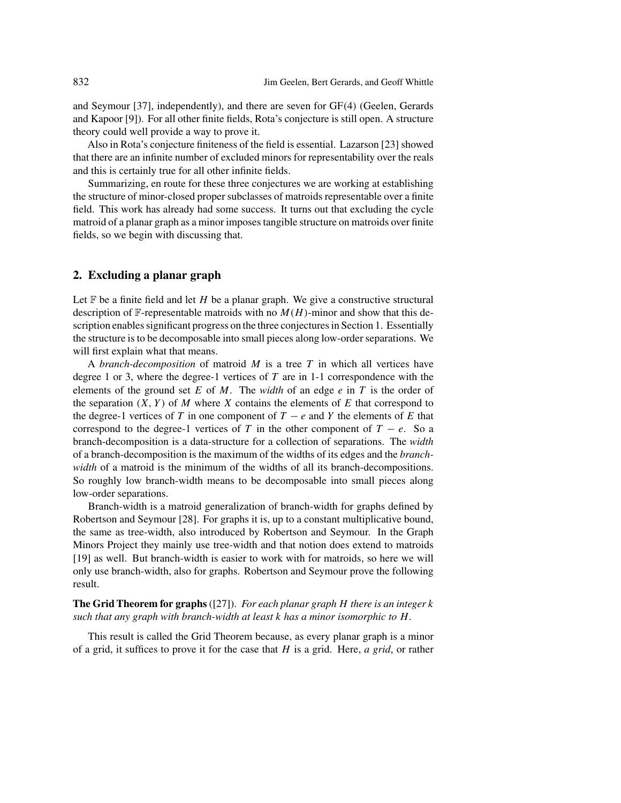and Seymour [37], independently), and there are seven for GF*(*4*)* (Geelen, Gerards and Kapoor [9]). For all other finite fields, Rota's conjecture is still open. A structure theory could well provide a way to prove it.

Also in Rota's conjecture finiteness of the field is essential. Lazarson [23] showed that there are an infinite number of excluded minors for representability over the reals and this is certainly true for all other infinite fields.

Summarizing, en route for these three conjectures we are working at establishing the structure of minor-closed proper subclasses of matroids representable over a finite field. This work has already had some success. It turns out that excluding the cycle matroid of a planar graph as a minor imposes tangible structure on matroids over finite fields, so we begin with discussing that.

## **2. Excluding a planar graph**

Let  $\mathbb F$  be a finite field and let  $H$  be a planar graph. We give a constructive structural description of  $\mathbb F$ -representable matroids with no  $M(H)$ -minor and show that this description enables significant progress on the three conjectures in Section 1. Essentially the structure is to be decomposable into small pieces along low-order separations. We will first explain what that means.

A *branch-decomposition* of matroid *M* is a tree *T* in which all vertices have degree 1 or 3, where the degree-1 vertices of *T* are in 1-1 correspondence with the elements of the ground set *E* of *M*. The *width* of an edge *e* in *T* is the order of the separation  $(X, Y)$  of M where X contains the elements of E that correspond to the degree-1 vertices of *T* in one component of  $T - e$  and *Y* the elements of *E* that correspond to the degree-1 vertices of *T* in the other component of  $T - e$ . So a branch-decomposition is a data-structure for a collection of separations. The *width* of a branch-decomposition is the maximum of the widths of its edges and the *branchwidth* of a matroid is the minimum of the widths of all its branch-decompositions. So roughly low branch-width means to be decomposable into small pieces along low-order separations.

Branch-width is a matroid generalization of branch-width for graphs defined by Robertson and Seymour [28]. For graphs it is, up to a constant multiplicative bound, the same as tree-width, also introduced by Robertson and Seymour. In the Graph Minors Project they mainly use tree-width and that notion does extend to matroids [19] as well. But branch-width is easier to work with for matroids, so here we will only use branch-width, also for graphs. Robertson and Seymour prove the following result.

**The Grid Theorem for graphs** ([27]). *For each planar graph H there is an integer k such that any graph with branch-width at least k has a minor isomorphic to H.*

This result is called the Grid Theorem because, as every planar graph is a minor of a grid, it suffices to prove it for the case that *H* is a grid. Here, *a grid*, or rather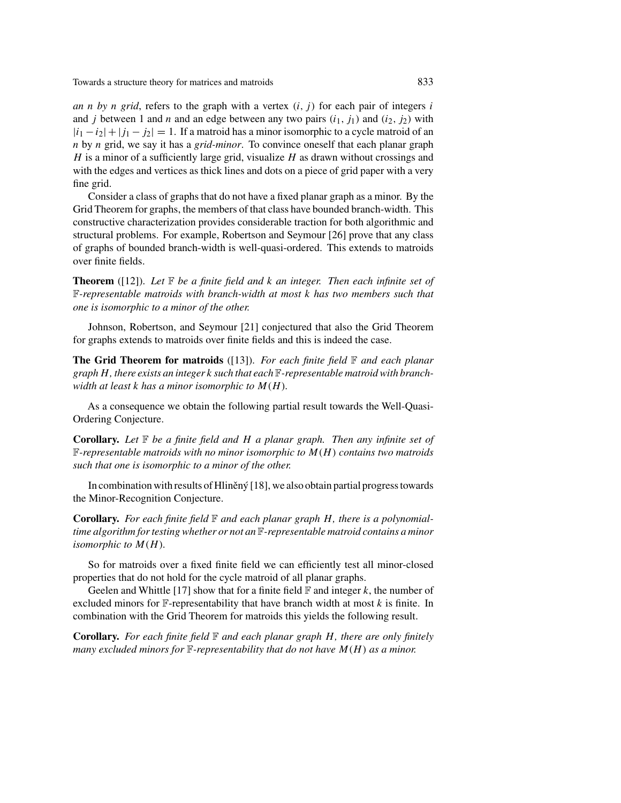*an n by n grid*, refers to the graph with a vertex  $(i, j)$  for each pair of integers *i* and *j* between 1 and *n* and an edge between any two pairs  $(i_1, j_1)$  and  $(i_2, j_2)$  with  $|i_1 - i_2| + |j_1 - j_2| = 1$ . If a matroid has a minor isomorphic to a cycle matroid of an *n* by *n* grid, we say it has a *grid-minor*. To convince oneself that each planar graph *H* is a minor of a sufficiently large grid, visualize *H* as drawn without crossings and with the edges and vertices as thick lines and dots on a piece of grid paper with a very fine grid.

Consider a class of graphs that do not have a fixed planar graph as a minor. By the Grid Theorem for graphs, the members of that class have bounded branch-width. This constructive characterization provides considerable traction for both algorithmic and structural problems. For example, Robertson and Seymour [26] prove that any class of graphs of bounded branch-width is well-quasi-ordered. This extends to matroids over finite fields.

**Theorem** ([12]). *Let* F *be a finite field and k an integer. Then each infinite set of* F*-representable matroids with branch-width at most k has two members such that one is isomorphic to a minor of the other.*

Johnson, Robertson, and Seymour [21] conjectured that also the Grid Theorem for graphs extends to matroids over finite fields and this is indeed the case.

**The Grid Theorem for matroids** ([13]). *For each finite field* F *and each planar graph H, there exists an integer k such that each* F*-representable matroid with branchwidth at least k has a minor isomorphic to M(H ).*

As a consequence we obtain the following partial result towards the Well-Quasi-Ordering Conjecture.

**Corollary.** *Let* F *be a finite field and H a planar graph. Then any infinite set of* F*-representable matroids with no minor isomorphic to M(H ) contains two matroids such that one is isomorphic to a minor of the other.*

In combination with results of Hliněný  $[18]$ , we also obtain partial progress towards the Minor-Recognition Conjecture.

**Corollary.** *For each finite field* F *and each planar graph H, there is a polynomialtime algorithm for testing whether or not an* F*-representable matroid contains a minor isomorphic to*  $M(H)$ *.* 

So for matroids over a fixed finite field we can efficiently test all minor-closed properties that do not hold for the cycle matroid of all planar graphs.

Geelen and Whittle [17] show that for a finite field  $\mathbb F$  and integer  $k$ , the number of excluded minors for F-representability that have branch width at most *k* is finite. In combination with the Grid Theorem for matroids this yields the following result.

**Corollary.** *For each finite field* F *and each planar graph H, there are only finitely many excluded minors for*  $\mathbb{F}$ -representability that do not have  $M(H)$  as a minor.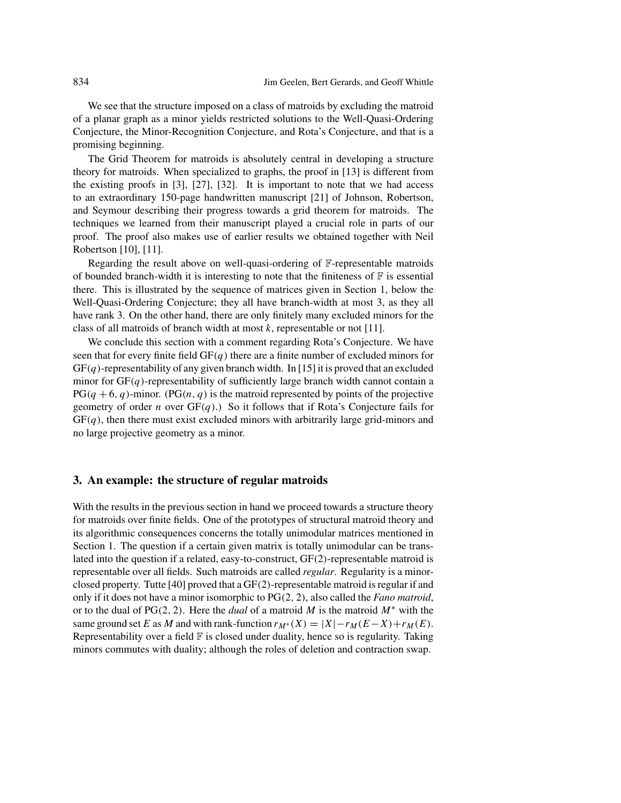We see that the structure imposed on a class of matroids by excluding the matroid of a planar graph as a minor yields restricted solutions to the Well-Quasi-Ordering Conjecture, the Minor-Recognition Conjecture, and Rota's Conjecture, and that is a promising beginning.

The Grid Theorem for matroids is absolutely central in developing a structure theory for matroids. When specialized to graphs, the proof in [13] is different from the existing proofs in [3], [27], [32]. It is important to note that we had access to an extraordinary 150-page handwritten manuscript [21] of Johnson, Robertson, and Seymour describing their progress towards a grid theorem for matroids. The techniques we learned from their manuscript played a crucial role in parts of our proof. The proof also makes use of earlier results we obtained together with Neil Robertson [10], [11].

Regarding the result above on well-quasi-ordering of F-representable matroids of bounded branch-width it is interesting to note that the finiteness of  $\mathbb F$  is essential there. This is illustrated by the sequence of matrices given in Section 1, below the Well-Quasi-Ordering Conjecture; they all have branch-width at most 3, as they all have rank 3. On the other hand, there are only finitely many excluded minors for the class of all matroids of branch width at most *k*, representable or not [11].

We conclude this section with a comment regarding Rota's Conjecture. We have seen that for every finite field GF*(q)* there are a finite number of excluded minors for GF*(q)*-representability of any given branch width. In [15] it is proved that an excluded minor for  $GF(q)$ -representability of sufficiently large branch width cannot contain a  $PG(q + 6, q)$ -minor. ( $PG(n, q)$  is the matroid represented by points of the projective geometry of order *n* over GF*(q)*.) So it follows that if Rota's Conjecture fails for GF*(q)*, then there must exist excluded minors with arbitrarily large grid-minors and no large projective geometry as a minor.

### **3. An example: the structure of regular matroids**

With the results in the previous section in hand we proceed towards a structure theory for matroids over finite fields. One of the prototypes of structural matroid theory and its algorithmic consequences concerns the totally unimodular matrices mentioned in Section 1. The question if a certain given matrix is totally unimodular can be translated into the question if a related, easy-to-construct, GF*(*2*)*-representable matroid is representable over all fields. Such matroids are called *regular*. Regularity is a minorclosed property. Tutte [40] proved that a GF*(*2*)*-representable matroid is regular if and only if it does not have a minor isomorphic to PG*(*2*,* 2*)*, also called the *Fano matroid*, or to the dual of PG(2, 2). Here the *dual* of a matroid *M* is the matroid  $M^*$  with the same ground set *E* as *M* and with rank-function  $r_{M^*}(X) = |X| - r_M(E - X) + r_M(E)$ . Representability over a field  $\mathbb F$  is closed under duality, hence so is regularity. Taking minors commutes with duality; although the roles of deletion and contraction swap.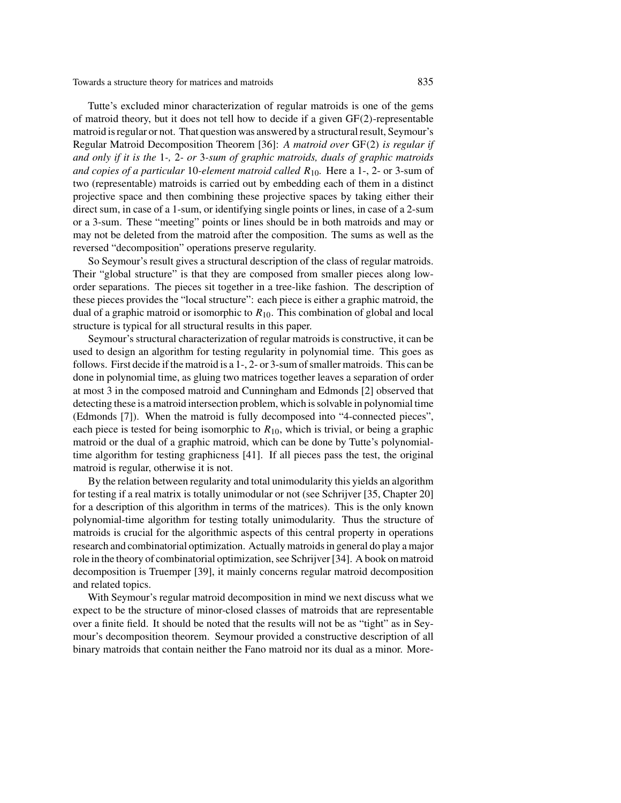Tutte's excluded minor characterization of regular matroids is one of the gems of matroid theory, but it does not tell how to decide if a given GF*(*2*)*-representable matroid is regular or not. That question was answered by a structural result, Seymour's Regular Matroid Decomposition Theorem [36]: *A matroid over* GF*(*2*) is regular if and only if it is the* 1*-,* 2*- or* 3*-sum of graphic matroids, duals of graphic matroids and copies of a particular* 10*-element matroid called R*10*.* Here a 1-, 2- or 3-sum of two (representable) matroids is carried out by embedding each of them in a distinct projective space and then combining these projective spaces by taking either their direct sum, in case of a 1-sum, or identifying single points or lines, in case of a 2-sum or a 3-sum. These "meeting" points or lines should be in both matroids and may or may not be deleted from the matroid after the composition. The sums as well as the reversed "decomposition" operations preserve regularity.

So Seymour's result gives a structural description of the class of regular matroids. Their "global structure" is that they are composed from smaller pieces along loworder separations. The pieces sit together in a tree-like fashion. The description of these pieces provides the "local structure": each piece is either a graphic matroid, the dual of a graphic matroid or isomorphic to  $R_{10}$ . This combination of global and local structure is typical for all structural results in this paper.

Seymour's structural characterization of regular matroids is constructive, it can be used to design an algorithm for testing regularity in polynomial time. This goes as follows. First decide if the matroid is a 1-, 2- or 3-sum of smaller matroids. This can be done in polynomial time, as gluing two matrices together leaves a separation of order at most 3 in the composed matroid and Cunningham and Edmonds [2] observed that detecting these is a matroid intersection problem, which is solvable in polynomial time (Edmonds [7]). When the matroid is fully decomposed into "4-connected pieces", each piece is tested for being isomorphic to  $R_{10}$ , which is trivial, or being a graphic matroid or the dual of a graphic matroid, which can be done by Tutte's polynomialtime algorithm for testing graphicness [41]. If all pieces pass the test, the original matroid is regular, otherwise it is not.

By the relation between regularity and total unimodularity this yields an algorithm for testing if a real matrix is totally unimodular or not (see Schrijver [35, Chapter 20] for a description of this algorithm in terms of the matrices). This is the only known polynomial-time algorithm for testing totally unimodularity. Thus the structure of matroids is crucial for the algorithmic aspects of this central property in operations research and combinatorial optimization. Actually matroids in general do play a major role in the theory of combinatorial optimization, see Schrijver [34]. A book on matroid decomposition is Truemper [39], it mainly concerns regular matroid decomposition and related topics.

With Seymour's regular matroid decomposition in mind we next discuss what we expect to be the structure of minor-closed classes of matroids that are representable over a finite field. It should be noted that the results will not be as "tight" as in Seymour's decomposition theorem. Seymour provided a constructive description of all binary matroids that contain neither the Fano matroid nor its dual as a minor. More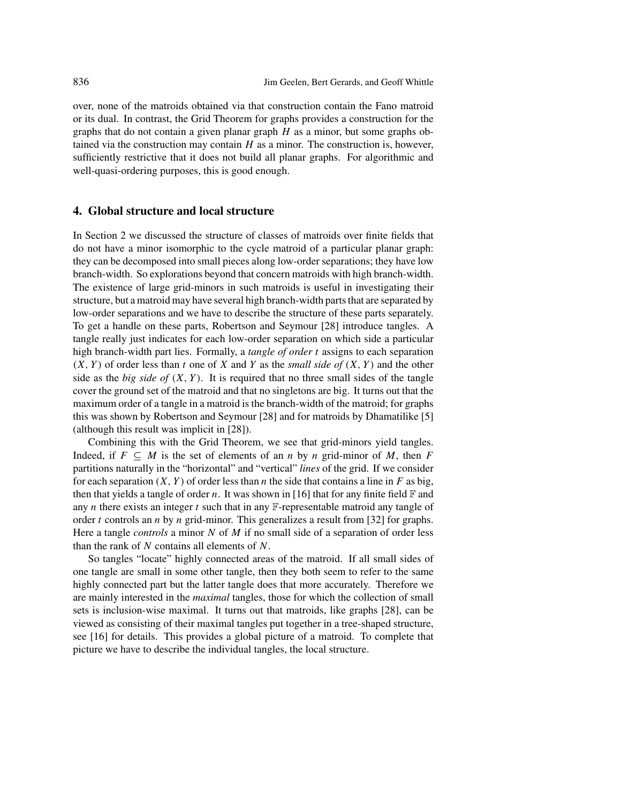over, none of the matroids obtained via that construction contain the Fano matroid or its dual. In contrast, the Grid Theorem for graphs provides a construction for the graphs that do not contain a given planar graph *H* as a minor, but some graphs obtained via the construction may contain  $H$  as a minor. The construction is, however, sufficiently restrictive that it does not build all planar graphs. For algorithmic and well-quasi-ordering purposes, this is good enough.

#### **4. Global structure and local structure**

In Section 2 we discussed the structure of classes of matroids over finite fields that do not have a minor isomorphic to the cycle matroid of a particular planar graph: they can be decomposed into small pieces along low-order separations; they have low branch-width. So explorations beyond that concern matroids with high branch-width. The existence of large grid-minors in such matroids is useful in investigating their structure, but a matroid may have several high branch-width parts that are separated by low-order separations and we have to describe the structure of these parts separately. To get a handle on these parts, Robertson and Seymour [28] introduce tangles. A tangle really just indicates for each low-order separation on which side a particular high branch-width part lies. Formally, a *tangle of order t* assigns to each separation *(X, Y )* of order less than *t* one of *X* and *Y* as the *small side of (X, Y )* and the other side as the *big side of*  $(X, Y)$ . It is required that no three small sides of the tangle cover the ground set of the matroid and that no singletons are big. It turns out that the maximum order of a tangle in a matroid is the branch-width of the matroid; for graphs this was shown by Robertson and Seymour [28] and for matroids by Dhamatilike [5] (although this result was implicit in [28]).

Combining this with the Grid Theorem, we see that grid-minors yield tangles. Indeed, if  $F \subseteq M$  is the set of elements of an *n* by *n* grid-minor of *M*, then *F* partitions naturally in the "horizontal" and "vertical" *lines* of the grid. If we consider for each separation  $(X, Y)$  of order less than *n* the side that contains a line in F as big, then that yields a tangle of order *n*. It was shown in [16] that for any finite field  $\mathbb{F}$  and any *n* there exists an integer *t* such that in any F-representable matroid any tangle of order *t* controls an *n* by *n* grid-minor. This generalizes a result from [32] for graphs. Here a tangle *controls* a minor *N* of *M* if no small side of a separation of order less than the rank of *N* contains all elements of *N*.

So tangles "locate" highly connected areas of the matroid. If all small sides of one tangle are small in some other tangle, then they both seem to refer to the same highly connected part but the latter tangle does that more accurately. Therefore we are mainly interested in the *maximal* tangles, those for which the collection of small sets is inclusion-wise maximal. It turns out that matroids, like graphs [28], can be viewed as consisting of their maximal tangles put together in a tree-shaped structure, see [16] for details. This provides a global picture of a matroid. To complete that picture we have to describe the individual tangles, the local structure.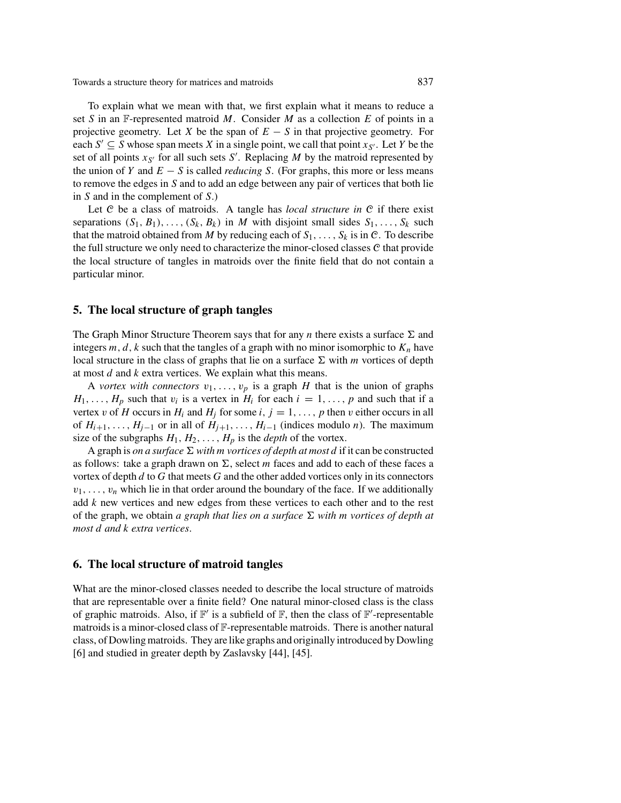To explain what we mean with that, we first explain what it means to reduce a set *S* in an  $\mathbb{F}$ -represented matroid *M*. Consider *M* as a collection *E* of points in a projective geometry. Let *X* be the span of  $E - S$  in that projective geometry. For each  $S' \subseteq S$  whose span meets *X* in a single point, we call that point  $x_{S'}$ . Let *Y* be the set of all points  $x_{S'}$  for all such sets  $S'$ . Replacing *M* by the matroid represented by the union of *Y* and  $E - S$  is called *reducing S*. (For graphs, this more or less means to remove the edges in *S* and to add an edge between any pair of vertices that both lie in *S* and in the complement of *S*.)

Let C be a class of matroids. A tangle has *local structure in* C if there exist separations  $(S_1, B_1), \ldots, (S_k, B_k)$  in *M* with disjoint small sides  $S_1, \ldots, S_k$  such that the matroid obtained from *M* by reducing each of  $S_1, \ldots, S_k$  is in C. To describe the full structure we only need to characterize the minor-closed classes C that provide the local structure of tangles in matroids over the finite field that do not contain a particular minor.

#### **5. The local structure of graph tangles**

The Graph Minor Structure Theorem says that for any *n* there exists a surface  $\Sigma$  and integers  $m, d, k$  such that the tangles of a graph with no minor isomorphic to  $K_n$  have local structure in the class of graphs that lie on a surface  $\Sigma$  with *m* vortices of depth at most *d* and *k* extra vertices. We explain what this means.

A *vortex with connectors*  $v_1, \ldots, v_p$  is a graph *H* that is the union of graphs  $H_1, \ldots, H_p$  such that  $v_i$  is a vertex in  $H_i$  for each  $i = 1, \ldots, p$  and such that if a vertex *v* of *H* occurs in  $H_i$  and  $H_j$  for some *i*,  $j = 1, \ldots, p$  then *v* either occurs in all of  $H_{i+1}, \ldots, H_{i-1}$  or in all of  $H_{i+1}, \ldots, H_{i-1}$  (indices modulo *n*). The maximum size of the subgraphs  $H_1, H_2, \ldots, H_p$  is the *depth* of the vortex.

A graph is *on a surface*  $\Sigma$  *with m vortices of depth at most d* if it can be constructed as follows: take a graph drawn on  $\Sigma$ , select *m* faces and add to each of these faces a vortex of depth *d* to *G* that meets *G* and the other added vortices only in its connectors  $v_1, \ldots, v_n$  which lie in that order around the boundary of the face. If we additionally add *k* new vertices and new edges from these vertices to each other and to the rest of the graph, we obtain *a graph that lies on a surface*  $\Sigma$  *with m vortices of depth at most d and k extra vertices*.

#### **6. The local structure of matroid tangles**

What are the minor-closed classes needed to describe the local structure of matroids that are representable over a finite field? One natural minor-closed class is the class of graphic matroids. Also, if  $\mathbb{F}'$  is a subfield of  $\mathbb{F}$ , then the class of  $\mathbb{F}'$ -representable matroids is a minor-closed class of F-representable matroids. There is another natural class, of Dowling matroids. They are like graphs and originally introduced by Dowling [6] and studied in greater depth by Zaslavsky [44], [45].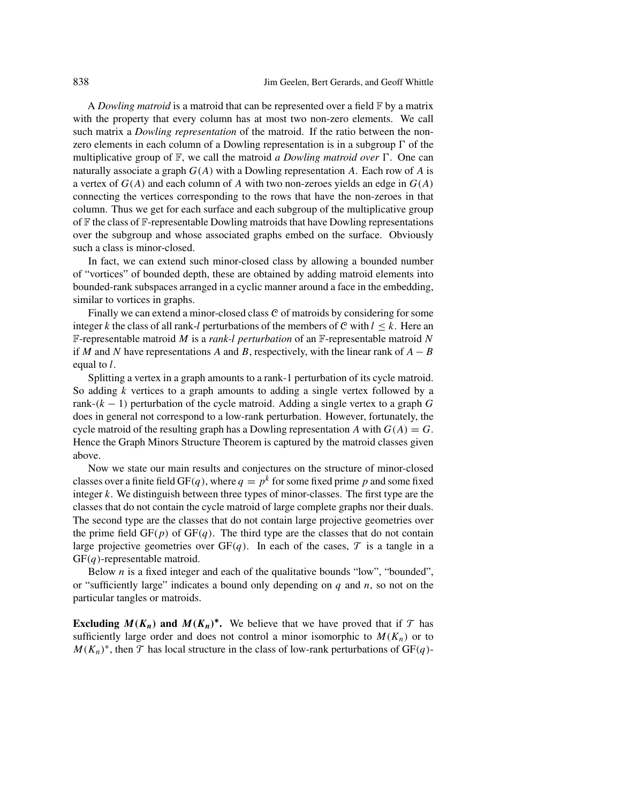A *Dowling matroid* is a matroid that can be represented over a field F by a matrix with the property that every column has at most two non-zero elements. We call such matrix a *Dowling representation* of the matroid. If the ratio between the nonzero elements in each column of a Dowling representation is in a subgroup  $\Gamma$  of the multiplicative group of  $\mathbb{F}$ , we call the matroid *a Dowling matroid over*  $\Gamma$ . One can naturally associate a graph *G(A)* with a Dowling representation *A*. Each row of *A* is a vertex of  $G(A)$  and each column of A with two non-zeroes yields an edge in  $G(A)$ connecting the vertices corresponding to the rows that have the non-zeroes in that column. Thus we get for each surface and each subgroup of the multiplicative group of  $\mathbb F$  the class of  $\mathbb F$ -representable Dowling matroids that have Dowling representations over the subgroup and whose associated graphs embed on the surface. Obviously such a class is minor-closed.

In fact, we can extend such minor-closed class by allowing a bounded number of "vortices" of bounded depth, these are obtained by adding matroid elements into bounded-rank subspaces arranged in a cyclic manner around a face in the embedding, similar to vortices in graphs.

Finally we can extend a minor-closed class  $C$  of matroids by considering for some integer *k* the class of all rank-*l* perturbations of the members of C with  $l \leq k$ . Here an F-representable matroid *M* is a *rank-l perturbation* of an F-representable matroid *N* if *M* and *N* have representations *A* and *B*, respectively, with the linear rank of  $A - B$ equal to *l*.

Splitting a vertex in a graph amounts to a rank-1 perturbation of its cycle matroid. So adding *k* vertices to a graph amounts to adding a single vertex followed by a rank- $(k - 1)$  perturbation of the cycle matroid. Adding a single vertex to a graph G does in general not correspond to a low-rank perturbation. However, fortunately, the cycle matroid of the resulting graph has a Dowling representation *A* with  $G(A) = G$ . Hence the Graph Minors Structure Theorem is captured by the matroid classes given above.

Now we state our main results and conjectures on the structure of minor-closed classes over a finite field GF(q), where  $q = p^k$  for some fixed prime p and some fixed integer *k*. We distinguish between three types of minor-classes. The first type are the classes that do not contain the cycle matroid of large complete graphs nor their duals. The second type are the classes that do not contain large projective geometries over the prime field  $GF(p)$  of  $GF(q)$ . The third type are the classes that do not contain large projective geometries over  $GF(q)$ . In each of the cases,  $\mathcal T$  is a tangle in a GF*(q)*-representable matroid.

Below *n* is a fixed integer and each of the qualitative bounds "low", "bounded", or "sufficiently large" indicates a bound only depending on *q* and *n*, so not on the particular tangles or matroids.

**Excluding**  $M(K_n)$  and  $M(K_n)^*$ . We believe that we have proved that if  $\mathcal{T}$  has sufficiently large order and does not control a minor isomorphic to  $M(K_n)$  or to  $M(K_n)^*$ , then  $\mathcal T$  has local structure in the class of low-rank perturbations of GF(q)-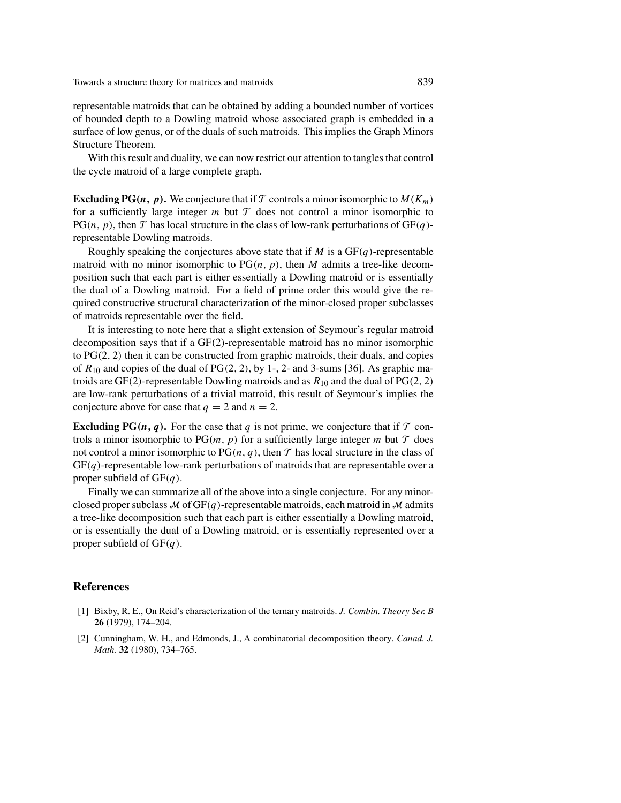representable matroids that can be obtained by adding a bounded number of vortices of bounded depth to a Dowling matroid whose associated graph is embedded in a surface of low genus, or of the duals of such matroids. This implies the Graph Minors Structure Theorem.

With this result and duality, we can now restrict our attention to tangles that control the cycle matroid of a large complete graph.

**Excluding PG**( $n$ ,  $p$ ). We conjecture that if  $T$  controls a minor isomorphic to  $M(K_m)$ for a sufficiently large integer  $m$  but  $T$  does not control a minor isomorphic to  $PG(n, p)$ , then  $\mathcal T$  has local structure in the class of low-rank perturbations of  $GF(q)$ representable Dowling matroids.

Roughly speaking the conjectures above state that if *M* is a GF*(q)*-representable matroid with no minor isomorphic to  $PG(n, p)$ , then *M* admits a tree-like decomposition such that each part is either essentially a Dowling matroid or is essentially the dual of a Dowling matroid. For a field of prime order this would give the required constructive structural characterization of the minor-closed proper subclasses of matroids representable over the field.

It is interesting to note here that a slight extension of Seymour's regular matroid decomposition says that if a GF*(*2*)*-representable matroid has no minor isomorphic to PG*(*2*,* 2*)* then it can be constructed from graphic matroids, their duals, and copies of  $R_{10}$  and copies of the dual of  $PG(2, 2)$ , by 1-, 2- and 3-sums [36]. As graphic matroids are GF(2)-representable Dowling matroids and as  $R_{10}$  and the dual of PG(2, 2) are low-rank perturbations of a trivial matroid, this result of Seymour's implies the conjecture above for case that  $q = 2$  and  $n = 2$ .

**Excluding PG** $(n, q)$ . For the case that q is not prime, we conjecture that if  $T$  controls a minor isomorphic to  $PG(m, p)$  for a sufficiently large integer *m* but  $T$  does not control a minor isomorphic to  $PG(n, q)$ , then  $\mathcal T$  has local structure in the class of GF*(q)*-representable low-rank perturbations of matroids that are representable over a proper subfield of GF*(q)*.

Finally we can summarize all of the above into a single conjecture. For any minorclosed proper subclass M of  $GF(q)$ -representable matroids, each matroid in M admits a tree-like decomposition such that each part is either essentially a Dowling matroid, or is essentially the dual of a Dowling matroid, or is essentially represented over a proper subfield of GF*(q)*.

#### **References**

- [1] Bixby, R. E., On Reid's characterization of the ternary matroids. *J. Combin. Theory Ser. B* **26** (1979), 174–204.
- [2] Cunningham, W. H., and Edmonds, J., A combinatorial decomposition theory. *Canad. J. Math.* **32** (1980), 734–765.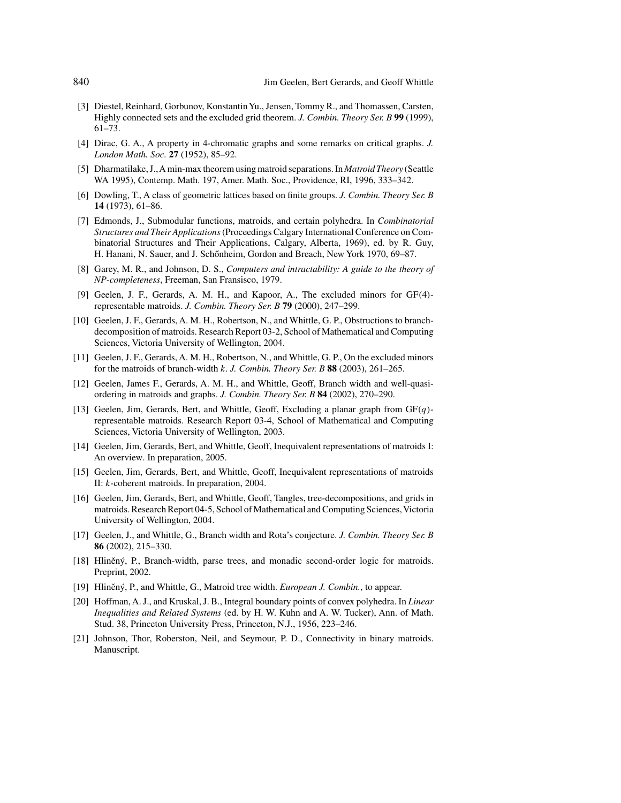- [3] Diestel, Reinhard, Gorbunov, KonstantinYu., Jensen, Tommy R., and Thomassen, Carsten, Highly connected sets and the excluded grid theorem. *J. Combin. Theory Ser. B* **99** (1999), 61–73.
- [4] Dirac, G. A., A property in 4-chromatic graphs and some remarks on critical graphs. *J. London Math. Soc.* **27** (1952), 85–92.
- [5] Dharmatilake, J.,A min-max theorem using matroid separations. In *Matroid Theory* (Seattle WA 1995), Contemp. Math. 197, Amer. Math. Soc., Providence, RI, 1996, 333–342.
- [6] Dowling, T., A class of geometric lattices based on finite groups. *J. Combin. Theory Ser. B* **14** (1973), 61–86.
- [7] Edmonds, J., Submodular functions, matroids, and certain polyhedra. In *Combinatorial Structures and Their Applications*(Proceedings Calgary International Conference on Combinatorial Structures and Their Applications, Calgary, Alberta, 1969), ed. by R. Guy, H. Hanani, N. Sauer, and J. Schőnheim, Gordon and Breach, New York 1970, 69–87.
- [8] Garey, M. R., and Johnson, D. S., *Computers and intractability: A guide to the theory of NP-completeness*, Freeman, San Fransisco, 1979.
- [9] Geelen, J. F., Gerards, A. M. H., and Kapoor, A., The excluded minors for GF*(*4*)* representable matroids. *J. Combin. Theory Ser. B* **79** (2000), 247–299.
- [10] Geelen, J. F., Gerards, A. M. H., Robertson, N., and Whittle, G. P., Obstructions to branchdecomposition of matroids. Research Report 03-2, School of Mathematical and Computing Sciences, Victoria University of Wellington, 2004.
- [11] Geelen, J. F., Gerards, A. M. H., Robertson, N., and Whittle, G. P., On the excluded minors for the matroids of branch-width *k*. *J. Combin. Theory Ser. B* **88** (2003), 261–265.
- [12] Geelen, James F., Gerards, A. M. H., and Whittle, Geoff, Branch width and well-quasiordering in matroids and graphs. *J. Combin. Theory Ser. B* **84** (2002), 270–290.
- [13] Geelen, Jim, Gerards, Bert, and Whittle, Geoff, Excluding a planar graph from GF*(q)* representable matroids. Research Report 03-4, School of Mathematical and Computing Sciences, Victoria University of Wellington, 2003.
- [14] Geelen, Jim, Gerards, Bert, and Whittle, Geoff, Inequivalent representations of matroids I: An overview. In preparation, 2005.
- [15] Geelen, Jim, Gerards, Bert, and Whittle, Geoff, Inequivalent representations of matroids II: *k*-coherent matroids. In preparation, 2004.
- [16] Geelen, Jim, Gerards, Bert, and Whittle, Geoff, Tangles, tree-decompositions, and grids in matroids. Research Report 04-5, School of Mathematical and Computing Sciences, Victoria University of Wellington, 2004.
- [17] Geelen, J., and Whittle, G., Branch width and Rota's conjecture. *J. Combin. Theory Ser. B* **86** (2002), 215–330.
- [18] Hliněný, P., Branch-width, parse trees, and monadic second-order logic for matroids. Preprint, 2002.
- [19] Hliněný, P., and Whittle, G., Matroid tree width. *European J. Combin.*, to appear.
- [20] Hoffman, A. J., and Kruskal, J. B., Integral boundary points of convex polyhedra. In *Linear Inequalities and Related Systems* (ed. by H. W. Kuhn and A. W. Tucker), Ann. of Math. Stud. 38, Princeton University Press, Princeton, N.J., 1956, 223–246.
- [21] Johnson, Thor, Roberston, Neil, and Seymour, P. D., Connectivity in binary matroids. Manuscript.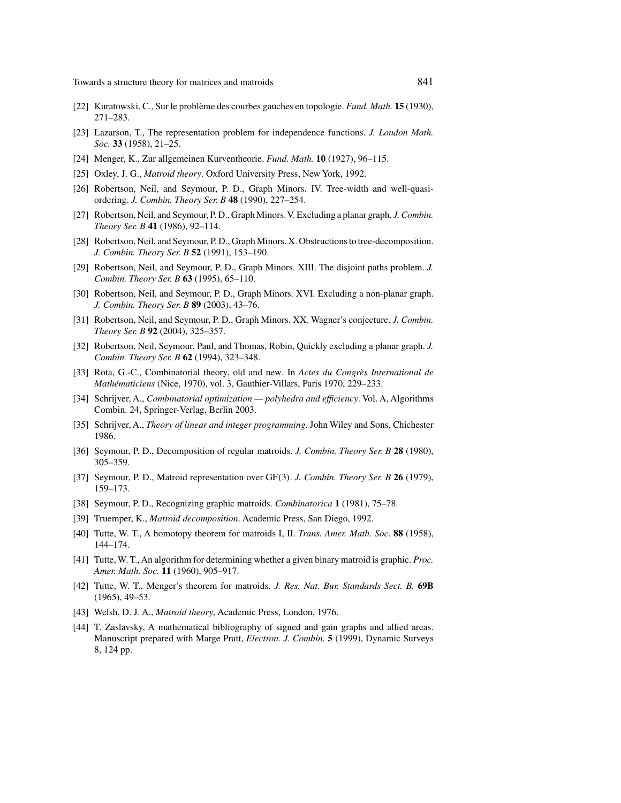- [22] Kuratowski, C., Sur le problème des courbes gauches en topologie. *Fund. Math.* **15** (1930), 271–283.
- [23] Lazarson, T., The representation problem for independence functions. *J. London Math. Soc.* **33** (1958), 21–25.
- [24] Menger, K., Zur allgemeinen Kurventheorie. *Fund. Math.* **10** (1927), 96–115.
- [25] Oxley, J. G., *Matroid theory*. Oxford University Press, New York, 1992.
- [26] Robertson, Neil, and Seymour, P. D., Graph Minors. IV. Tree-width and well-quasiordering. *J. Combin. Theory Ser. B* **48** (1990), 227–254.
- [27] Robertson, Neil, and Seymour, P. D., Graph Minors.V. Excluding a planar graph. *J. Combin. Theory Ser. B* **41** (1986), 92–114.
- [28] Robertson, Neil, and Seymour, P. D., Graph Minors. X. Obstructions to tree-decomposition. *J. Combin. Theory Ser. B* **52** (1991), 153–190.
- [29] Robertson, Neil, and Seymour, P. D., Graph Minors. XIII. The disjoint paths problem. *J. Combin. Theory Ser. B* **63** (1995), 65–110.
- [30] Robertson, Neil, and Seymour, P. D., Graph Minors. XVI. Excluding a non-planar graph. *J. Combin. Theory Ser. B* **89** (2003), 43–76.
- [31] Robertson, Neil, and Seymour, P. D., Graph Minors. XX. Wagner's conjecture. *J. Combin. Theory Ser. B* **92** (2004), 325–357.
- [32] Robertson, Neil, Seymour, Paul, and Thomas, Robin, Quickly excluding a planar graph. *J. Combin. Theory Ser. B* **62** (1994), 323–348.
- [33] Rota, G.-C., Combinatorial theory, old and new. In *Actes du Congrès International de Mathématiciens* (Nice, 1970), vol. 3, Gauthier-Villars, Paris 1970, 229–233.
- [34] Schrijver, A., *Combinatorial optimization polyhedra and efficiency*. Vol. A, Algorithms Combin. 24, Springer-Verlag, Berlin 2003.
- [35] Schrijver, A., *Theory of linear and integer programming*. John Wiley and Sons, Chichester 1986.
- [36] Seymour, P. D., Decomposition of regular matroids. *J. Combin. Theory Ser. B* **28** (1980), 305–359.
- [37] Seymour, P. D., Matroid representation over GF*(*3*)*. *J. Combin. Theory Ser. B* **26** (1979), 159–173.
- [38] Seymour, P. D., Recognizing graphic matroids. *Combinatorica* **1** (1981), 75–78.
- [39] Truemper, K., *Matroid decomposition*. Academic Press, San Diego, 1992.
- [40] Tutte, W. T., A homotopy theorem for matroids I, II. *Trans. Amer. Math. Soc.* **88** (1958), 144–174.
- [41] Tutte, W. T., An algorithm for determining whether a given binary matroid is graphic. *Proc. Amer. Math. Soc.* **11** (1960), 905–917.
- [42] Tutte, W. T., Menger's theorem for matroids. *J. Res. Nat. Bur. Standards Sect. B.* **69B** (1965), 49–53.
- [43] Welsh, D. J. A., *Matroid theory*, Academic Press, London, 1976.
- [44] T. Zaslavsky, A mathematical bibliography of signed and gain graphs and allied areas. Manuscript prepared with Marge Pratt, *Electron. J. Combin.* **5** (1999), Dynamic Surveys 8, 124 pp.